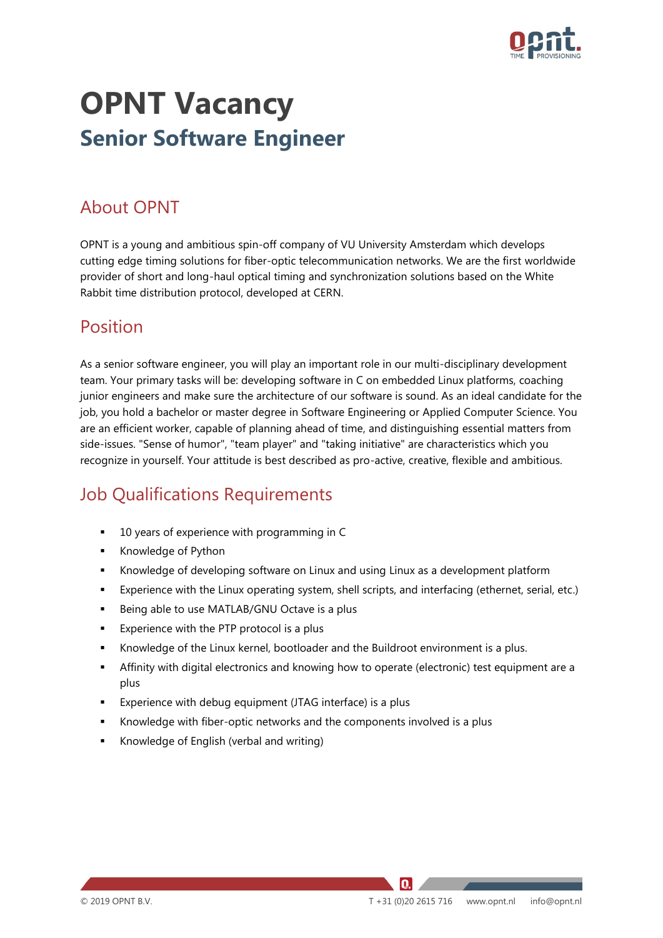

# **OPNT Vacancy Senior Software Engineer**

## About OPNT

OPNT is a young and ambitious spin-off company of VU University Amsterdam which develops cutting edge timing solutions for fiber-optic telecommunication networks. We are the first worldwide provider of short and long-haul optical timing and synchronization solutions based on the White Rabbit time distribution protocol, developed at CERN.

## Position

As a senior software engineer, you will play an important role in our multi-disciplinary development team. Your primary tasks will be: developing software in C on embedded Linux platforms, coaching junior engineers and make sure the architecture of our software is sound. As an ideal candidate for the job, you hold a bachelor or master degree in Software Engineering or Applied Computer Science. You are an efficient worker, capable of planning ahead of time, and distinguishing essential matters from side-issues. "Sense of humor", "team player" and "taking initiative" are characteristics which you recognize in yourself. Your attitude is best described as pro-active, creative, flexible and ambitious.

## Job Qualifications Requirements

- 10 years of experience with programming in C
- Knowledge of Python
- **EXEL** Knowledge of developing software on Linux and using Linux as a development platform
- Experience with the Linux operating system, shell scripts, and interfacing (ethernet, serial, etc.)
- Being able to use MATLAB/GNU Octave is a plus
- Experience with the PTP protocol is a plus
- Knowledge of the Linux kernel, bootloader and the Buildroot environment is a plus.
- **EXECT** Affinity with digital electronics and knowing how to operate (electronic) test equipment are a plus
- Experience with debug equipment (JTAG interface) is a plus
- Knowledge with fiber-optic networks and the components involved is a plus
- Knowledge of English (verbal and writing)